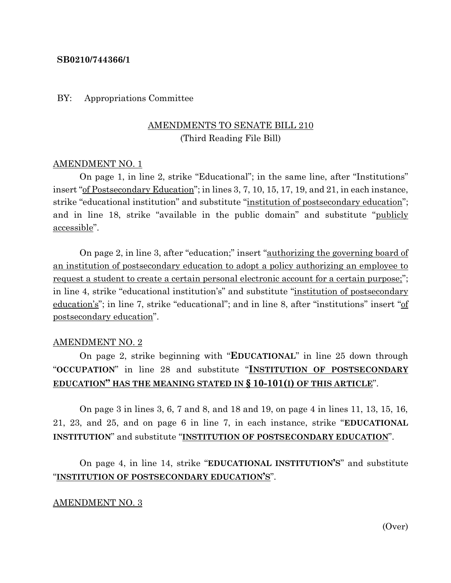#### **SB0210/744366/1**

#### BY: Appropriations Committee

# AMENDMENTS TO SENATE BILL 210 (Third Reading File Bill)

#### AMENDMENT NO. 1

On page 1, in line 2, strike "Educational"; in the same line, after "Institutions" insert "of Postsecondary Education"; in lines 3, 7, 10, 15, 17, 19, and 21, in each instance, strike "educational institution" and substitute "institution of postsecondary education"; and in line 18, strike "available in the public domain" and substitute "publicly accessible".

On page 2, in line 3, after "education;" insert "authorizing the governing board of an institution of postsecondary education to adopt a policy authorizing an employee to request a student to create a certain personal electronic account for a certain purpose;"; in line 4, strike "educational institution's" and substitute "institution of postsecondary education's"; in line 7, strike "educational"; and in line 8, after "institutions" insert "of postsecondary education".

#### AMENDMENT NO. 2

On page 2, strike beginning with "**EDUCATIONAL**" in line 25 down through "**OCCUPATION**" in line 28 and substitute "**INSTITUTION OF POSTSECONDARY EDUCATION" HAS THE MEANING STATED IN § 10-101(I) OF THIS ARTICLE**".

On page 3 in lines 3, 6, 7 and 8, and 18 and 19, on page 4 in lines 11, 13, 15, 16, 21, 23, and 25, and on page 6 in line 7, in each instance, strike "**EDUCATIONAL INSTITUTION**" and substitute "**INSTITUTION OF POSTSECONDARY EDUCATION**".

On page 4, in line 14, strike "**EDUCATIONAL INSTITUTION'S**" and substitute "**INSTITUTION OF POSTSECONDARY EDUCATION'S**".

## AMENDMENT NO. 3

(Over)